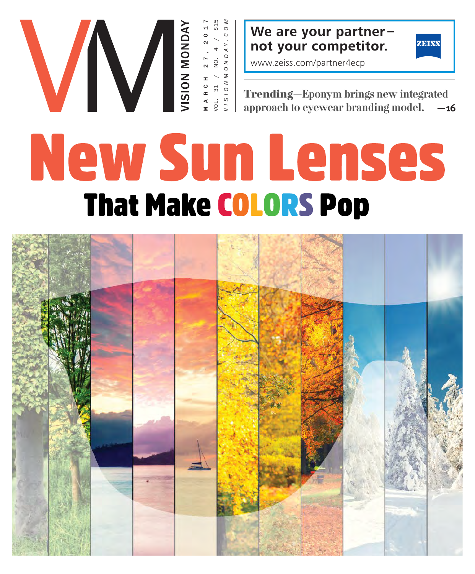

**We are your partner – not your competitor.**



www.zeiss.com/partner4ecp

**Trending**—Eponym brings new integrated approach to eyewear branding model. **—16**

# New Sun Lenses **That Make COLORS Pop**

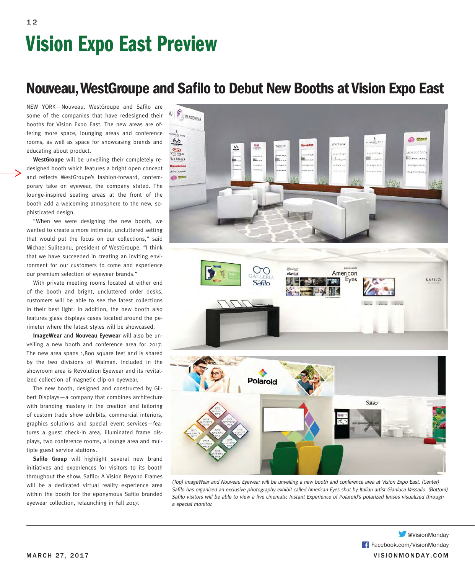## **Nouveau, WestGroupe and Safilo to Debut New Booths at Vision Expo East**

NEW YORK-Nouveau, WestGroupe and Safilo are some of the companies that have redesigned their booths for Vision Expo East. The new areas are offering more space, lounging areas and conference rooms, as well as space for showcasing brands and educating about product.

**WestGroupe** will be unveiling their completely redesigned booth which features a bright open concept and reflects WestGroupe's fashion-forward, contemporary take on eyewear, the company stated. The lounge-inspired seating areas at the front of the booth add a welcoming atmosphere to the new, sophisticated design.

"When we were designing the new booth, we wanted to create a more intimate, uncluttered setting that would put the focus on our collections," said Michael Suliteanu, president of WestGroupe. "I think that we have succeeded in creating an inviting environment for our customers to come and experience our premium selection of eyewear brands."

With private meeting rooms located at either end of the booth and bright, uncluttered order desks, customers will be able to see the latest collections in their best light. In addition, the new booth also features glass displays cases located around the perimeter where the latest styles will be showcased.

**ImageWear** and **Nouveau Eyewear** will also be unveiling a new booth and conference area for 2017. The new area spans 1,800 square feet and is shared by the two divisions of Walman. Included in the showroom area is Revolution Eyewear and its revitalized collection of magnetic clip-on eyewear.

The new booth, designed and constructed by Gilbert Displays—a company that combines architecture with branding mastery in the creation and tailoring of custom trade show exhibits, commercial interiors, graphics solutions and special event services—features a guest check-in area, illuminated frame displays, two conference rooms, a lounge area and multiple guest service stations.

Safilo Group will highlight several new brand initiatives and experiences for visitors to its booth throughout the show. Safilo: A Vision Beyond Frames will be a dedicated virtual reality experience area within the booth for the eponymous Safilo branded eyewear collection, relaunching in Fall 2017.



(Top) ImageWear and Nouveau Eyewear will be unveiling a new booth and conference area at Vision Expo East. (Center) Safilo has organized an exclusive photography exhibit called American Eyes shot by Italian artist Gianluca Vassallo. (Bottom) Safilo visitors will be able to view a live cinematic Instant Experience of Polaroid's polarized lenses visualized through a special monitor.

MARCH 27, 2017 VISIONMONDAY.COM Facebook.com/VisionMonday **W** @VisionMonday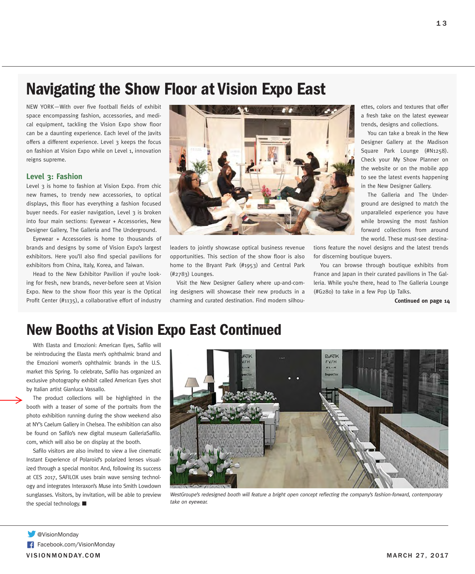## **Navigating the Show Floor at Vision Expo East**

NEW YORK-With over five football fields of exhibit space encompassing fashion, accessories, and medical equipment, tackling the Vision Expo show floor can be a daunting experience. Each level of the Javits offers a different experience. Level 3 keeps the focus on fashion at Vision Expo while on Level 1, innovation reigns supreme.

#### **Level 3: Fashion**

Level 3 is home to fashion at Vision Expo. From chic new frames, to trendy new accessories, to optical displays, this floor has everything a fashion focused buyer needs. For easier navigation, Level 3 is broken into four main sections: Eyewear + Accessories, New Designer Gallery, The Galleria and The Underground.

Eyewear + Accessories is home to thousands of brands and designs by some of Vision Expo's largest exhibitors. Here you'll also find special pavilions for exhibitors from China, Italy, Korea, and Taiwan.

Head to the New Exhibitor Pavilion if you're looking for fresh, new brands, never-before seen at Vision Expo. New to the show floor this year is the Optical Profit Center (#1135), a collaborative effort of industry



leaders to jointly showcase optical business revenue opportunities. This section of the show floor is also home to the Bryant Park (#1953) and Central Park (#2783) Lounges.

Visit the New Designer Gallery where up-and-coming designers will showcase their new products in a charming and curated destination. Find modern silhouettes, colors and textures that offer a fresh take on the latest eyewear trends, designs and collections.

You can take a break in the New Designer Gallery at the Madison Square Park Lounge (#N1258). Check your My Show Planner on the website or on the mobile app to see the latest events happening in the New Designer Gallery.

The Galleria and The Underground are designed to match the unparalleled experience you have while browsing the most fashion forward collections from around the world. These must-see destina-

tions feature the novel designs and the latest trends for discerning boutique buyers.

You can browse through boutique exhibits from France and Japan in their curated pavilions in The Galleria. While you're there, head to The Galleria Lounge (#G280) to take in a few Pop Up Talks.

**Continued on page 14**

### **New Booths at Vision Expo East Continued**

With Elasta and Emozioni: American Eyes, Safilo will be reintroducing the Elasta men's ophthalmic brand and the Emozioni women's ophthalmic brands in the U.S. market this Spring. To celebrate, Safilo has organized an exclusive photography exhibit called American Eyes shot by Italian artist Gianluca Vassallo.

The product collections will be highlighted in the booth with a teaser of some of the portraits from the photo exhibition running during the show weekend also at NY's Caelum Gallery in Chelsea. The exhibition can also be found on Safilo's new digital museum GalleriaSafilo. com, which will also be on display at the booth.

Safilo visitors are also invited to view a live cinematic Instant Experience of Polaroid's polarized lenses visualized through a special monitor. And, following its success at CES 2017, SAFILOX uses brain wave sensing technology and integrates Interaxon's Muse into Smith Lowdown sunglasses. Visitors, by invitation, will be able to preview the special technology. ■



WestGroupe's redesigned booth will feature a bright open concept reflecting the company's fashion-forward, contemporary take on eyewear.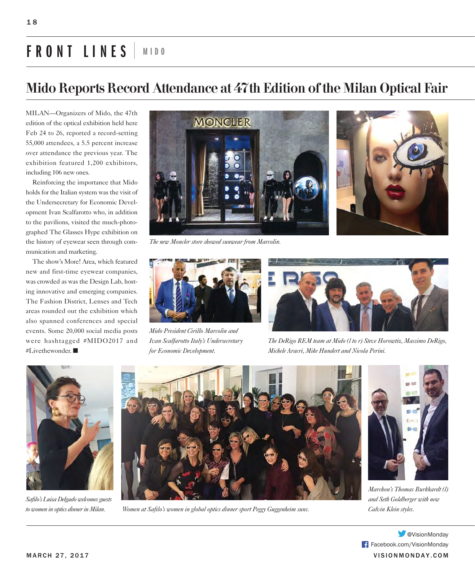# **FRONT LINES MIDO**

## Mido Reports Record Attendance at 47th Edition of the Milan Optical Fair

MILAN—Organizers of Mido, the 47th edition of the optical exhibition held here Feb 24 to 26, reported a record-setting 55,000 attendees, a 5.5 percent increase over attendance the previous year. The exhibition featured 1,200 exhibitors, including 106 new ones.

Reinforcing the importance that Mido holds for the Italian system was the visit of the Undersecretary for Economic Development Ivan Scalfarotto who, in addition to the pavilions, visited the much-photographed The Glasses Hype exhibition on the history of eyewear seen through communication and marketing.

The show's More! Area, which featured new and first-time eyewear companies, was crowded as was the Design Lab, hosting innovative and emerging companies. The Fashion District, Lenses and Tech areas rounded out the exhibition which also spanned conferences and special events. Some 20,000 social media posts were hashtagged #MIDO2017 and #Livethewonder. ■



*The new Moncler store showed sunwear from Marcolin.* 



*Mido President Cirillo Marcolin and Ivan Scalfarotto Italy's Undersecretary for Economic Development.*



*The DeRigo REM team at Mido (l to r) Steve Horowtiz, Massimo DeRigo, Michele Aracri, Mike Hundert and Nicola Perini.* 



*Safilo's Luisa Delgado welcomes guests to women in optics dinner in Milan.*



*Women at Safilo's women in global optics dinner sport Peggy Guggenheim suns. Calvin Klein styles.*



*Marchon's Thomas Burkhardt (l) and Seth Goldberger with new* 

MARCH 27, 2017 VISIONMONDAY.COM Facebook.com/VisionMonday **W**eVisionMonday